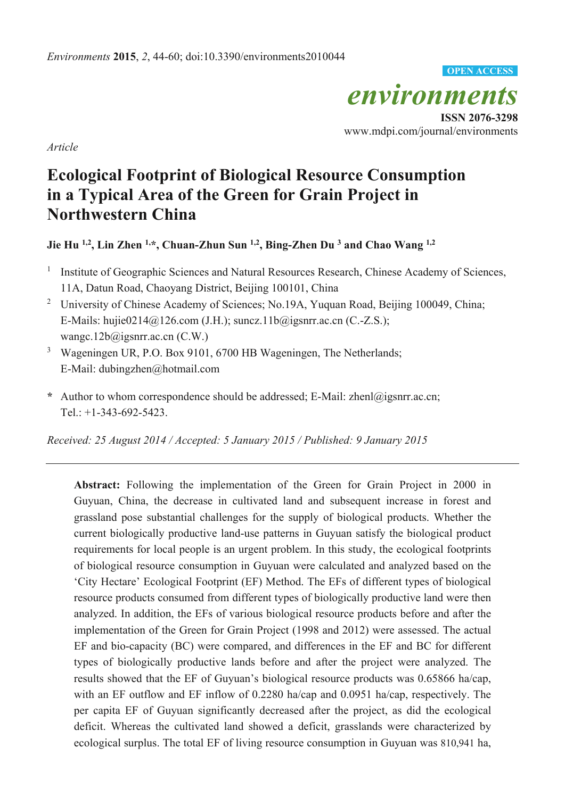*environments*  **ISSN 2076-3298**  www.mdpi.com/journal/environments **OPEN ACCESS**

*Article* 

# **Ecological Footprint of Biological Resource Consumption in a Typical Area of the Green for Grain Project in Northwestern China**

**Jie Hu 1,2, Lin Zhen 1,\*, Chuan-Zhun Sun 1,2, Bing-Zhen Du 3 and Chao Wang 1,2**

- <sup>1</sup> Institute of Geographic Sciences and Natural Resources Research, Chinese Academy of Sciences, 11A, Datun Road, Chaoyang District, Beijing 100101, China
- <sup>2</sup> University of Chinese Academy of Sciences; No.19A, Yuquan Road, Beijing 100049, China; E-Mails: hujie0214@126.com (J.H.); suncz.11b@igsnrr.ac.cn (C.-Z.S.); wangc.12b@igsnrr.ac.cn (C.W.)
- <sup>3</sup> Wageningen UR, P.O. Box 9101, 6700 HB Wageningen, The Netherlands; E-Mail: dubingzhen@hotmail.com
- **\*** Author to whom correspondence should be addressed; E-Mail: zhenl@igsnrr.ac.cn; Tel.: +1-343-692-5423.

*Received: 25 August 2014 / Accepted: 5 January 2015 / Published: 9 January 2015* 

**Abstract:** Following the implementation of the Green for Grain Project in 2000 in Guyuan, China, the decrease in cultivated land and subsequent increase in forest and grassland pose substantial challenges for the supply of biological products. Whether the current biologically productive land-use patterns in Guyuan satisfy the biological product requirements for local people is an urgent problem. In this study, the ecological footprints of biological resource consumption in Guyuan were calculated and analyzed based on the 'City Hectare' Ecological Footprint (EF) Method. The EFs of different types of biological resource products consumed from different types of biologically productive land were then analyzed. In addition, the EFs of various biological resource products before and after the implementation of the Green for Grain Project (1998 and 2012) were assessed. The actual EF and bio-capacity (BC) were compared, and differences in the EF and BC for different types of biologically productive lands before and after the project were analyzed. The results showed that the EF of Guyuan's biological resource products was 0.65866 ha/cap, with an EF outflow and EF inflow of 0.2280 ha/cap and 0.0951 ha/cap, respectively. The per capita EF of Guyuan significantly decreased after the project, as did the ecological deficit. Whereas the cultivated land showed a deficit, grasslands were characterized by ecological surplus. The total EF of living resource consumption in Guyuan was 810,941 ha,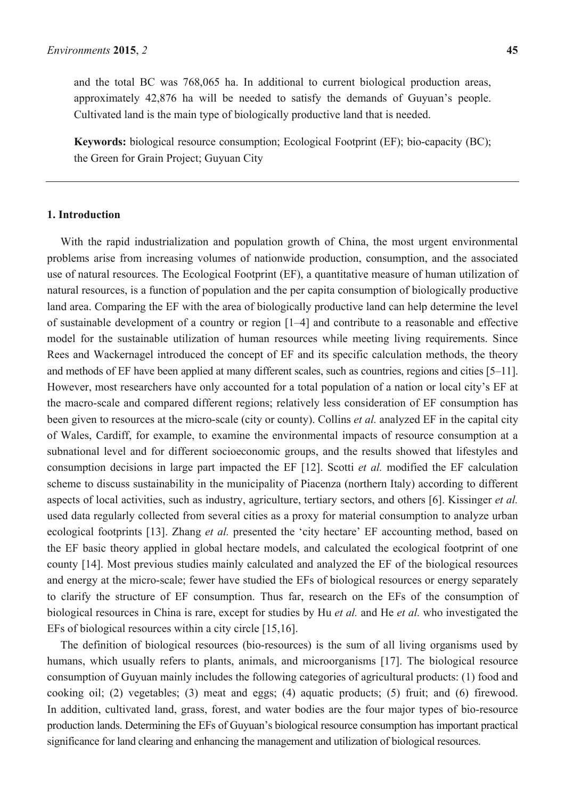and the total BC was 768,065 ha. In additional to current biological production areas, approximately 42,876 ha will be needed to satisfy the demands of Guyuan's people. Cultivated land is the main type of biologically productive land that is needed.

**Keywords:** biological resource consumption; Ecological Footprint (EF); bio-capacity (BC); the Green for Grain Project; Guyuan City

# **1. Introduction**

With the rapid industrialization and population growth of China, the most urgent environmental problems arise from increasing volumes of nationwide production, consumption, and the associated use of natural resources. The Ecological Footprint (EF), a quantitative measure of human utilization of natural resources, is a function of population and the per capita consumption of biologically productive land area. Comparing the EF with the area of biologically productive land can help determine the level of sustainable development of a country or region [1–4] and contribute to a reasonable and effective model for the sustainable utilization of human resources while meeting living requirements. Since Rees and Wackernagel introduced the concept of EF and its specific calculation methods, the theory and methods of EF have been applied at many different scales, such as countries, regions and cities [5–11]. However, most researchers have only accounted for a total population of a nation or local city's EF at the macro-scale and compared different regions; relatively less consideration of EF consumption has been given to resources at the micro-scale (city or county). Collins *et al.* analyzed EF in the capital city of Wales, Cardiff, for example, to examine the environmental impacts of resource consumption at a subnational level and for different socioeconomic groups, and the results showed that lifestyles and consumption decisions in large part impacted the EF [12]. Scotti *et al.* modified the EF calculation scheme to discuss sustainability in the municipality of Piacenza (northern Italy) according to different aspects of local activities, such as industry, agriculture, tertiary sectors, and others [6]. Kissinger *et al.* used data regularly collected from several cities as a proxy for material consumption to analyze urban ecological footprints [13]. Zhang *et al.* presented the 'city hectare' EF accounting method, based on the EF basic theory applied in global hectare models, and calculated the ecological footprint of one county [14]. Most previous studies mainly calculated and analyzed the EF of the biological resources and energy at the micro-scale; fewer have studied the EFs of biological resources or energy separately to clarify the structure of EF consumption. Thus far, research on the EFs of the consumption of biological resources in China is rare, except for studies by Hu *et al.* and He *et al.* who investigated the EFs of biological resources within a city circle [15,16].

The definition of biological resources (bio-resources) is the sum of all living organisms used by humans, which usually refers to plants, animals, and microorganisms [17]. The biological resource consumption of Guyuan mainly includes the following categories of agricultural products: (1) food and cooking oil; (2) vegetables; (3) meat and eggs; (4) aquatic products; (5) fruit; and (6) firewood. In addition, cultivated land, grass, forest, and water bodies are the four major types of bio-resource production lands. Determining the EFs of Guyuan's biological resource consumption has important practical significance for land clearing and enhancing the management and utilization of biological resources.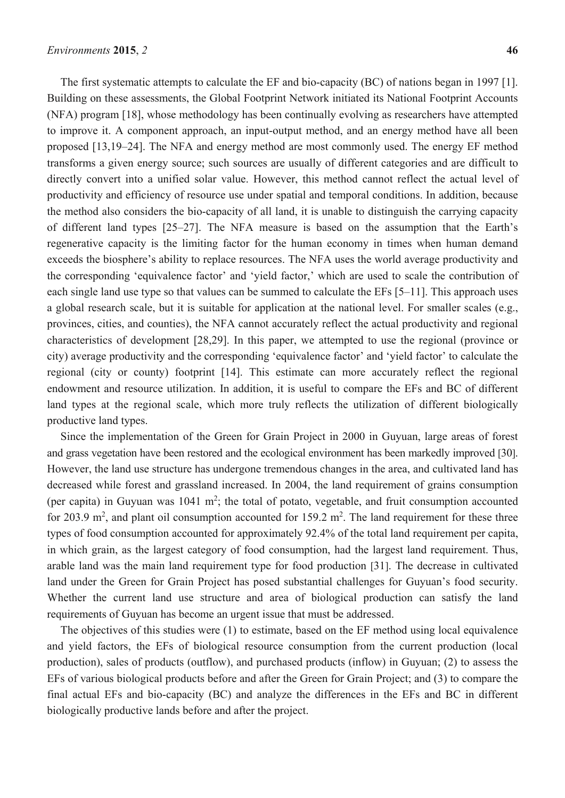The first systematic attempts to calculate the EF and bio-capacity (BC) of nations began in 1997 [1]. Building on these assessments, the Global Footprint Network initiated its National Footprint Accounts (NFA) program [18], whose methodology has been continually evolving as researchers have attempted to improve it. A component approach, an input-output method, and an energy method have all been proposed [13,19–24]. The NFA and energy method are most commonly used. The energy EF method transforms a given energy source; such sources are usually of different categories and are difficult to directly convert into a unified solar value. However, this method cannot reflect the actual level of productivity and efficiency of resource use under spatial and temporal conditions. In addition, because the method also considers the bio-capacity of all land, it is unable to distinguish the carrying capacity of different land types [25–27]. The NFA measure is based on the assumption that the Earth's regenerative capacity is the limiting factor for the human economy in times when human demand exceeds the biosphere's ability to replace resources. The NFA uses the world average productivity and the corresponding 'equivalence factor' and 'yield factor,' which are used to scale the contribution of each single land use type so that values can be summed to calculate the EFs [5–11]. This approach uses a global research scale, but it is suitable for application at the national level. For smaller scales (e.g., provinces, cities, and counties), the NFA cannot accurately reflect the actual productivity and regional characteristics of development [28,29]. In this paper, we attempted to use the regional (province or city) average productivity and the corresponding 'equivalence factor' and 'yield factor' to calculate the regional (city or county) footprint [14]. This estimate can more accurately reflect the regional endowment and resource utilization. In addition, it is useful to compare the EFs and BC of different land types at the regional scale, which more truly reflects the utilization of different biologically productive land types.

Since the implementation of the Green for Grain Project in 2000 in Guyuan, large areas of forest and grass vegetation have been restored and the ecological environment has been markedly improved [30]. However, the land use structure has undergone tremendous changes in the area, and cultivated land has decreased while forest and grassland increased. In 2004, the land requirement of grains consumption (per capita) in Guyuan was  $1041 \text{ m}^2$ ; the total of potato, vegetable, and fruit consumption accounted for 203.9  $m^2$ , and plant oil consumption accounted for 159.2  $m^2$ . The land requirement for these three types of food consumption accounted for approximately 92.4% of the total land requirement per capita, in which grain, as the largest category of food consumption, had the largest land requirement. Thus, arable land was the main land requirement type for food production [31]. The decrease in cultivated land under the Green for Grain Project has posed substantial challenges for Guyuan's food security. Whether the current land use structure and area of biological production can satisfy the land requirements of Guyuan has become an urgent issue that must be addressed.

The objectives of this studies were (1) to estimate, based on the EF method using local equivalence and yield factors, the EFs of biological resource consumption from the current production (local production), sales of products (outflow), and purchased products (inflow) in Guyuan; (2) to assess the EFs of various biological products before and after the Green for Grain Project; and (3) to compare the final actual EFs and bio-capacity (BC) and analyze the differences in the EFs and BC in different biologically productive lands before and after the project.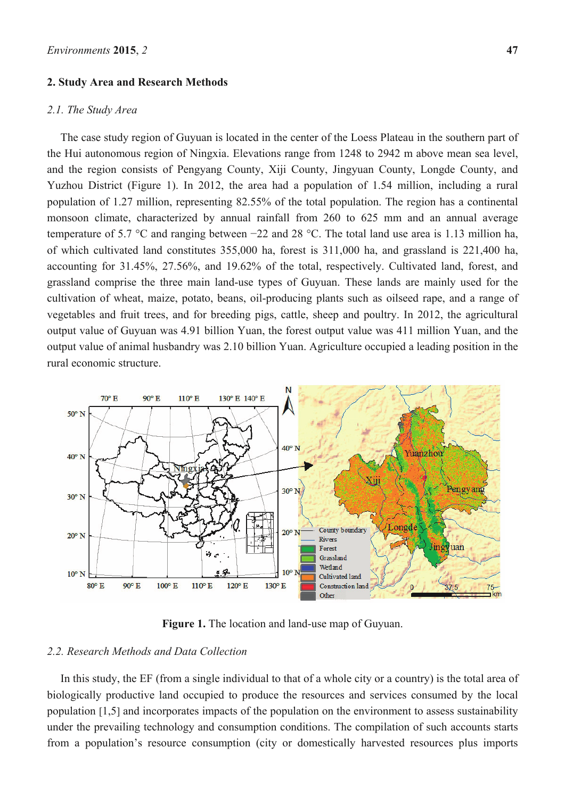#### **2. Study Area and Research Methods**

#### *2.1. The Study Area*

The case study region of Guyuan is located in the center of the Loess Plateau in the southern part of the Hui autonomous region of Ningxia. Elevations range from 1248 to 2942 m above mean sea level, and the region consists of Pengyang County, Xiji County, Jingyuan County, Longde County, and Yuzhou District (Figure 1). In 2012, the area had a population of 1.54 million, including a rural population of 1.27 million, representing 82.55% of the total population. The region has a continental monsoon climate, characterized by annual rainfall from 260 to 625 mm and an annual average temperature of 5.7 °C and ranging between −22 and 28 °C. The total land use area is 1.13 million ha, of which cultivated land constitutes 355,000 ha, forest is 311,000 ha, and grassland is 221,400 ha, accounting for 31.45%, 27.56%, and 19.62% of the total, respectively. Cultivated land, forest, and grassland comprise the three main land-use types of Guyuan. These lands are mainly used for the cultivation of wheat, maize, potato, beans, oil-producing plants such as oilseed rape, and a range of vegetables and fruit trees, and for breeding pigs, cattle, sheep and poultry. In 2012, the agricultural output value of Guyuan was 4.91 billion Yuan, the forest output value was 411 million Yuan, and the output value of animal husbandry was 2.10 billion Yuan. Agriculture occupied a leading position in the rural economic structure.



**Figure 1.** The location and land-use map of Guyuan.

# *2.2. Research Methods and Data Collection*

In this study, the EF (from a single individual to that of a whole city or a country) is the total area of biologically productive land occupied to produce the resources and services consumed by the local population [1,5] and incorporates impacts of the population on the environment to assess sustainability under the prevailing technology and consumption conditions. The compilation of such accounts starts from a population's resource consumption (city or domestically harvested resources plus imports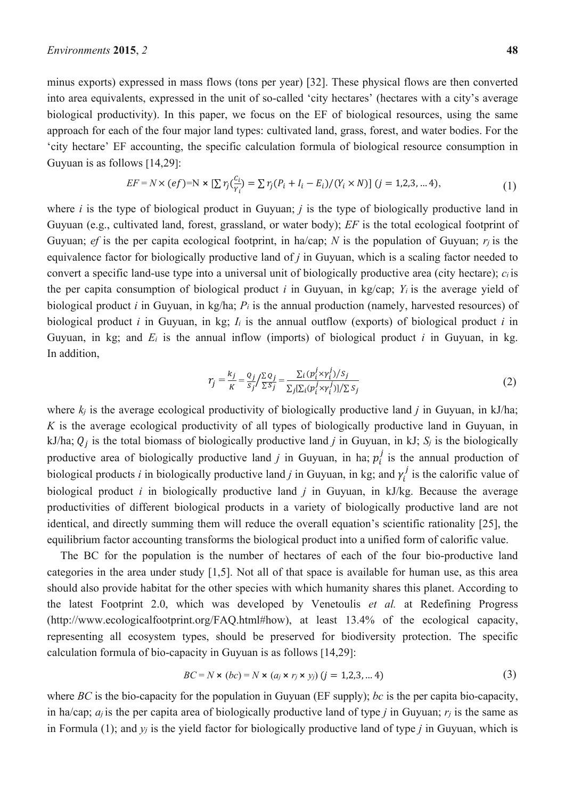minus exports) expressed in mass flows (tons per year) [32]. These physical flows are then converted into area equivalents, expressed in the unit of so-called 'city hectares' (hectares with a city's average biological productivity). In this paper, we focus on the EF of biological resources, using the same approach for each of the four major land types: cultivated land, grass, forest, and water bodies. For the 'city hectare' EF accounting, the specific calculation formula of biological resource consumption in Guyuan is as follows [14,29]:

$$
EF = N \times (ef) = N \times [\sum r_j(\frac{c_i}{r_i})] = \sum r_j(P_i + I_i - E_i) / (Y_i \times N)] (j = 1, 2, 3, \dots 4),
$$
\n(1)

where *i* is the type of biological product in Guyuan; *j* is the type of biologically productive land in Guyuan (e.g., cultivated land, forest, grassland, or water body); *EF* is the total ecological footprint of Guyuan; *ef* is the per capita ecological footprint, in ha/cap; *N* is the population of Guyuan;  $r_i$  is the equivalence factor for biologically productive land of *j* in Guyuan, which is a scaling factor needed to convert a specific land-use type into a universal unit of biologically productive area (city hectare); *ci* is the per capita consumption of biological product *i* in Guyuan, in kg/cap;  $Y_i$  is the average yield of biological product *i* in Guyuan, in kg/ha; *Pi* is the annual production (namely, harvested resources) of biological product *i* in Guyuan, in kg;  $I_i$  is the annual outflow (exports) of biological product *i* in Guyuan, in kg; and  $E_i$  is the annual inflow (imports) of biological product *i* in Guyuan, in kg. In addition,

$$
r_j = \frac{k_j}{K} = \frac{Q_j}{S_j} / \frac{\sum q_j}{\sum S_j} = \frac{\sum_i (p_i^j \times r_i^j) / S_j}{\sum_j [\sum_i (p_i^j \times r_i^j)] / \sum S_j}
$$
(2)

where  $k_i$  is the average ecological productivity of biologically productive land *j* in Guyuan, in kJ/ha; *K* is the average ecological productivity of all types of biologically productive land in Guyuan, in kJ/ha;  $Q_i$  is the total biomass of biologically productive land *j* in Guyuan, in kJ;  $S_j$  is the biologically productive area of biologically productive land  $j$  in Guyuan, in ha;  $p_i^j$  is the annual production of biological products *i* in biologically productive land *j* in Guyuan, in kg; and  $\gamma_i^j$  is the calorific value of biological product *i* in biologically productive land *j* in Guyuan, in kJ/kg. Because the average productivities of different biological products in a variety of biologically productive land are not identical, and directly summing them will reduce the overall equation's scientific rationality [25], the equilibrium factor accounting transforms the biological product into a unified form of calorific value.

The BC for the population is the number of hectares of each of the four bio-productive land categories in the area under study [1,5]. Not all of that space is available for human use, as this area should also provide habitat for the other species with which humanity shares this planet. According to the latest Footprint 2.0, which was developed by Venetoulis *et al.* at Redefining Progress (http://www.ecologicalfootprint.org/FAQ.html#how), at least 13.4% of the ecological capacity, representing all ecosystem types, should be preserved for biodiversity protection. The specific calculation formula of bio-capacity in Guyuan is as follows [14,29]:

$$
BC = N \times (bc) = N \times (a_j \times r_j \times y_j) (j = 1, 2, 3, \dots 4)
$$
\n
$$
(3)
$$

where *BC* is the bio-capacity for the population in Guyuan (EF supply); *bc* is the per capita bio-capacity, in ha/cap; *aj* is the per capita area of biologically productive land of type *j* in Guyuan; *rj* is the same as in Formula (1); and *yj* is the yield factor for biologically productive land of type *j* in Guyuan, which is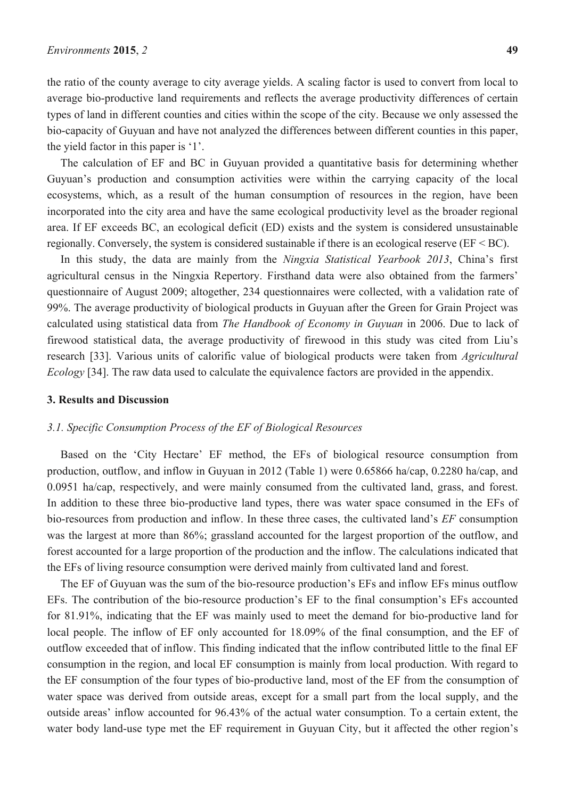the ratio of the county average to city average yields. A scaling factor is used to convert from local to average bio-productive land requirements and reflects the average productivity differences of certain types of land in different counties and cities within the scope of the city. Because we only assessed the bio-capacity of Guyuan and have not analyzed the differences between different counties in this paper, the yield factor in this paper is '1'.

The calculation of EF and BC in Guyuan provided a quantitative basis for determining whether Guyuan's production and consumption activities were within the carrying capacity of the local ecosystems, which, as a result of the human consumption of resources in the region, have been incorporated into the city area and have the same ecological productivity level as the broader regional area. If EF exceeds BC, an ecological deficit (ED) exists and the system is considered unsustainable regionally. Conversely, the system is considered sustainable if there is an ecological reserve (EF < BC).

In this study, the data are mainly from the *Ningxia Statistical Yearbook 2013*, China's first agricultural census in the Ningxia Repertory. Firsthand data were also obtained from the farmers' questionnaire of August 2009; altogether, 234 questionnaires were collected, with a validation rate of 99%. The average productivity of biological products in Guyuan after the Green for Grain Project was calculated using statistical data from *The Handbook of Economy in Guyuan* in 2006. Due to lack of firewood statistical data, the average productivity of firewood in this study was cited from Liu's research [33]. Various units of calorific value of biological products were taken from *Agricultural Ecology* [34]. The raw data used to calculate the equivalence factors are provided in the appendix.

#### **3. Results and Discussion**

#### *3.1. Specific Consumption Process of the EF of Biological Resources*

Based on the 'City Hectare' EF method, the EFs of biological resource consumption from production, outflow, and inflow in Guyuan in 2012 (Table 1) were 0.65866 ha/cap, 0.2280 ha/cap, and 0.0951 ha/cap, respectively, and were mainly consumed from the cultivated land, grass, and forest. In addition to these three bio-productive land types, there was water space consumed in the EFs of bio-resources from production and inflow. In these three cases, the cultivated land's *EF* consumption was the largest at more than 86%; grassland accounted for the largest proportion of the outflow, and forest accounted for a large proportion of the production and the inflow. The calculations indicated that the EFs of living resource consumption were derived mainly from cultivated land and forest.

The EF of Guyuan was the sum of the bio-resource production's EFs and inflow EFs minus outflow EFs. The contribution of the bio-resource production's EF to the final consumption's EFs accounted for 81.91%, indicating that the EF was mainly used to meet the demand for bio-productive land for local people. The inflow of EF only accounted for 18.09% of the final consumption, and the EF of outflow exceeded that of inflow. This finding indicated that the inflow contributed little to the final EF consumption in the region, and local EF consumption is mainly from local production. With regard to the EF consumption of the four types of bio-productive land, most of the EF from the consumption of water space was derived from outside areas, except for a small part from the local supply, and the outside areas' inflow accounted for 96.43% of the actual water consumption. To a certain extent, the water body land-use type met the EF requirement in Guyuan City, but it affected the other region's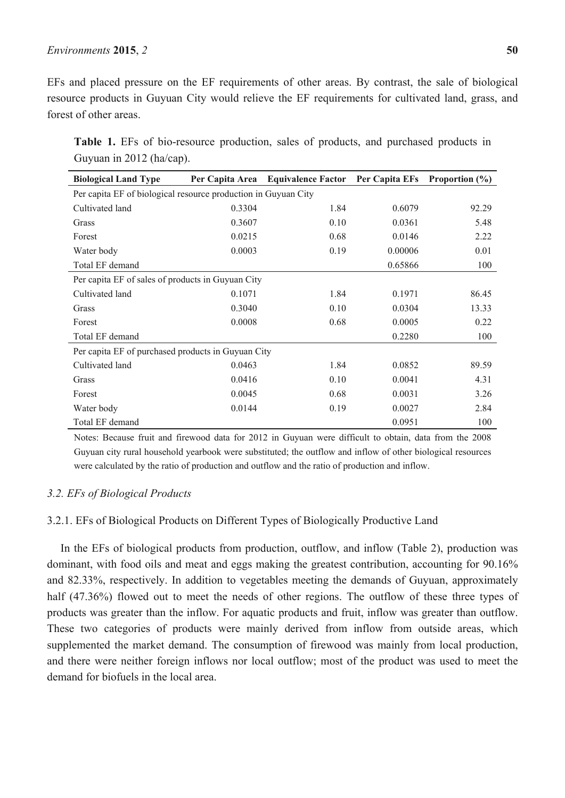#### *Environments* **2015**, *2* **50**

EFs and placed pressure on the EF requirements of other areas. By contrast, the sale of biological resource products in Guyuan City would relieve the EF requirements for cultivated land, grass, and forest of other areas.

|  | Table 1. EFs of bio-resource production, sales of products, and purchased products in |  |  |  |  |
|--|---------------------------------------------------------------------------------------|--|--|--|--|
|  | Guyuan in $2012$ (ha/cap).                                                            |  |  |  |  |

| <b>Biological Land Type</b>                                    |        | Per Capita Area Equivalence Factor Per Capita EFs Proportion (%) |         |       |  |  |  |
|----------------------------------------------------------------|--------|------------------------------------------------------------------|---------|-------|--|--|--|
| Per capita EF of biological resource production in Guyuan City |        |                                                                  |         |       |  |  |  |
| Cultivated land                                                | 0.3304 | 1.84                                                             | 0.6079  | 92.29 |  |  |  |
| Grass                                                          | 0.3607 | 0.10                                                             | 0.0361  | 5.48  |  |  |  |
| Forest                                                         | 0.0215 | 0.68                                                             | 0.0146  | 2.22  |  |  |  |
| Water body                                                     | 0.0003 | 0.19                                                             | 0.00006 | 0.01  |  |  |  |
| Total EF demand                                                |        |                                                                  | 0.65866 | 100   |  |  |  |
| Per capita EF of sales of products in Guyuan City              |        |                                                                  |         |       |  |  |  |
| Cultivated land                                                | 0.1071 | 1.84                                                             | 0.1971  | 86.45 |  |  |  |
| Grass                                                          | 0.3040 | 0.10                                                             | 0.0304  | 13.33 |  |  |  |
| Forest                                                         | 0.0008 | 0.68                                                             | 0.0005  | 0.22  |  |  |  |
| Total EF demand                                                |        |                                                                  | 0.2280  | 100   |  |  |  |
| Per capita EF of purchased products in Guyuan City             |        |                                                                  |         |       |  |  |  |
| Cultivated land                                                | 0.0463 | 1.84                                                             | 0.0852  | 89.59 |  |  |  |
| Grass                                                          | 0.0416 | 0.10                                                             | 0.0041  | 4.31  |  |  |  |
| Forest                                                         | 0.0045 | 0.68                                                             | 0.0031  | 3.26  |  |  |  |
| Water body                                                     | 0.0144 | 0.19                                                             | 0.0027  | 2.84  |  |  |  |
| Total EF demand                                                |        |                                                                  | 0.0951  | 100   |  |  |  |

Notes: Because fruit and firewood data for 2012 in Guyuan were difficult to obtain, data from the 2008 Guyuan city rural household yearbook were substituted; the outflow and inflow of other biological resources were calculated by the ratio of production and outflow and the ratio of production and inflow.

## *3.2. EFs of Biological Products*

## 3.2.1. EFs of Biological Products on Different Types of Biologically Productive Land

In the EFs of biological products from production, outflow, and inflow (Table 2), production was dominant, with food oils and meat and eggs making the greatest contribution, accounting for 90.16% and 82.33%, respectively. In addition to vegetables meeting the demands of Guyuan, approximately half (47.36%) flowed out to meet the needs of other regions. The outflow of these three types of products was greater than the inflow. For aquatic products and fruit, inflow was greater than outflow. These two categories of products were mainly derived from inflow from outside areas, which supplemented the market demand. The consumption of firewood was mainly from local production, and there were neither foreign inflows nor local outflow; most of the product was used to meet the demand for biofuels in the local area.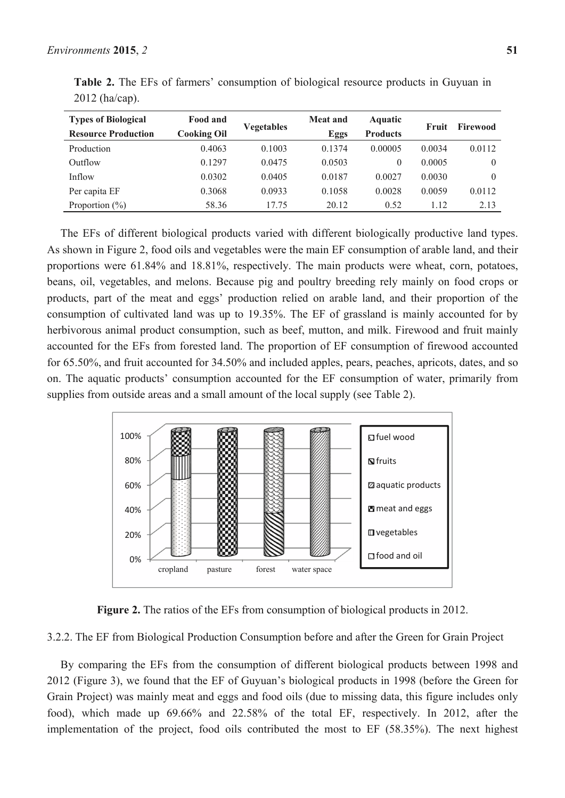| <b>Types of Biological</b> | Food and           |            | <b>Meat and</b> | Aquatic         | Fruit  | Firewood |
|----------------------------|--------------------|------------|-----------------|-----------------|--------|----------|
| <b>Resource Production</b> | <b>Cooking Oil</b> | Vegetables | Eggs            | <b>Products</b> |        |          |
| Production                 | 0.4063             | 0.1003     | 0.1374          | 0.00005         | 0.0034 | 0.0112   |
| Outflow                    | 0.1297             | 0.0475     | 0.0503          | 0               | 0.0005 | $\theta$ |
| Inflow                     | 0.0302             | 0.0405     | 0.0187          | 0.0027          | 0.0030 | $\theta$ |
| Per capita EF              | 0.3068             | 0.0933     | 0.1058          | 0.0028          | 0.0059 | 0.0112   |
| Proportion $(\% )$         | 58.36              | 17.75      | 20.12           | 0.52            | 1.12   | 2.13     |

**Table 2.** The EFs of farmers' consumption of biological resource products in Guyuan in 2012 (ha/cap).

The EFs of different biological products varied with different biologically productive land types. As shown in Figure 2, food oils and vegetables were the main EF consumption of arable land, and their proportions were 61.84% and 18.81%, respectively. The main products were wheat, corn, potatoes, beans, oil, vegetables, and melons. Because pig and poultry breeding rely mainly on food crops or products, part of the meat and eggs' production relied on arable land, and their proportion of the consumption of cultivated land was up to 19.35%. The EF of grassland is mainly accounted for by herbivorous animal product consumption, such as beef, mutton, and milk. Firewood and fruit mainly accounted for the EFs from forested land. The proportion of EF consumption of firewood accounted for 65.50%, and fruit accounted for 34.50% and included apples, pears, peaches, apricots, dates, and so on. The aquatic products' consumption accounted for the EF consumption of water, primarily from supplies from outside areas and a small amount of the local supply (see Table 2).



**Figure 2.** The ratios of the EFs from consumption of biological products in 2012.

3.2.2. The EF from Biological Production Consumption before and after the Green for Grain Project

By comparing the EFs from the consumption of different biological products between 1998 and 2012 (Figure 3), we found that the EF of Guyuan's biological products in 1998 (before the Green for Grain Project) was mainly meat and eggs and food oils (due to missing data, this figure includes only food), which made up 69.66% and 22.58% of the total EF, respectively. In 2012, after the implementation of the project, food oils contributed the most to EF (58.35%). The next highest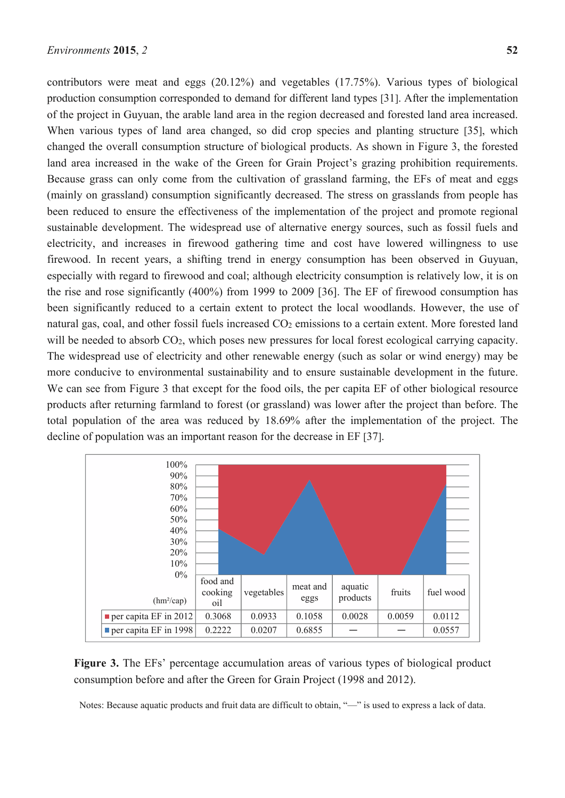contributors were meat and eggs (20.12%) and vegetables (17.75%). Various types of biological production consumption corresponded to demand for different land types [31]. After the implementation of the project in Guyuan, the arable land area in the region decreased and forested land area increased. When various types of land area changed, so did crop species and planting structure [35], which changed the overall consumption structure of biological products. As shown in Figure 3, the forested land area increased in the wake of the Green for Grain Project's grazing prohibition requirements. Because grass can only come from the cultivation of grassland farming, the EFs of meat and eggs (mainly on grassland) consumption significantly decreased. The stress on grasslands from people has been reduced to ensure the effectiveness of the implementation of the project and promote regional sustainable development. The widespread use of alternative energy sources, such as fossil fuels and electricity, and increases in firewood gathering time and cost have lowered willingness to use firewood. In recent years, a shifting trend in energy consumption has been observed in Guyuan, especially with regard to firewood and coal; although electricity consumption is relatively low, it is on the rise and rose significantly (400%) from 1999 to 2009 [36]. The EF of firewood consumption has been significantly reduced to a certain extent to protect the local woodlands. However, the use of natural gas, coal, and other fossil fuels increased CO<sub>2</sub> emissions to a certain extent. More forested land will be needed to absorb  $CO<sub>2</sub>$ , which poses new pressures for local forest ecological carrying capacity. The widespread use of electricity and other renewable energy (such as solar or wind energy) may be more conducive to environmental sustainability and to ensure sustainable development in the future. We can see from Figure 3 that except for the food oils, the per capita EF of other biological resource products after returning farmland to forest (or grassland) was lower after the project than before. The total population of the area was reduced by 18.69% after the implementation of the project. The decline of population was an important reason for the decrease in EF [37].



**Figure 3.** The EFs' percentage accumulation areas of various types of biological product consumption before and after the Green for Grain Project (1998 and 2012).

Notes: Because aquatic products and fruit data are difficult to obtain, "—" is used to express a lack of data.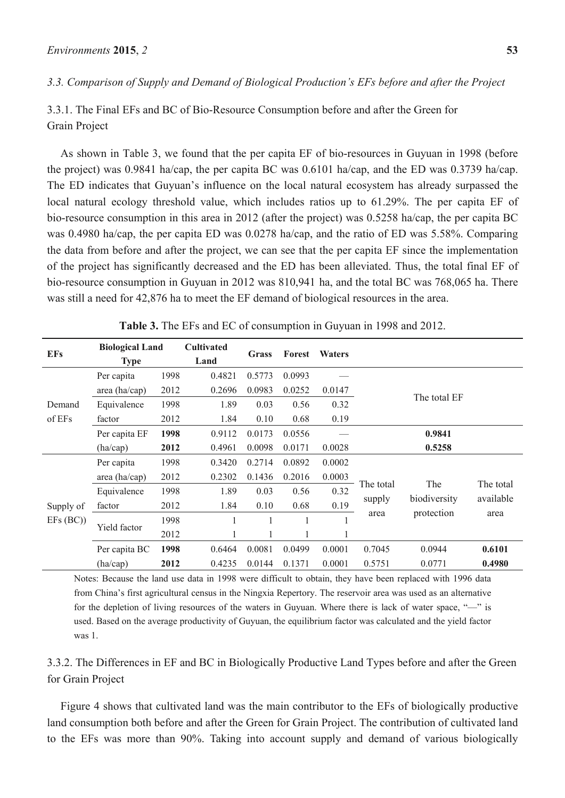# *3.3. Comparison of Supply and Demand of Biological Production's EFs before and after the Project*

3.3.1. The Final EFs and BC of Bio-Resource Consumption before and after the Green for Grain Project

As shown in Table 3, we found that the per capita EF of bio-resources in Guyuan in 1998 (before the project) was 0.9841 ha/cap, the per capita BC was 0.6101 ha/cap, and the ED was 0.3739 ha/cap. The ED indicates that Guyuan's influence on the local natural ecosystem has already surpassed the local natural ecology threshold value, which includes ratios up to 61.29%. The per capita EF of bio-resource consumption in this area in 2012 (after the project) was 0.5258 ha/cap, the per capita BC was 0.4980 ha/cap, the per capita ED was 0.0278 ha/cap, and the ratio of ED was 5.58%. Comparing the data from before and after the project, we can see that the per capita EF since the implementation of the project has significantly decreased and the ED has been alleviated. Thus, the total final EF of bio-resource consumption in Guyuan in 2012 was 810,941 ha, and the total BC was 768,065 ha. There was still a need for 42,876 ha to meet the EF demand of biological resources in the area.

| <b>EFs</b>       | <b>Biological Land</b><br><b>Type</b> |      | <b>Cultivated</b><br>Land | <b>Grass</b> | Forest | <b>Waters</b> |              |                     |                        |
|------------------|---------------------------------------|------|---------------------------|--------------|--------|---------------|--------------|---------------------|------------------------|
| Demand<br>of EFs | Per capita                            | 1998 | 0.4821                    | 0.5773       | 0.0993 |               |              |                     |                        |
|                  | area (ha/cap)                         | 2012 | 0.2696                    | 0.0983       | 0.0252 | 0.0147        |              |                     |                        |
|                  | 1998<br>Equivalence                   |      | 1.89                      | 0.03         | 0.56   | 0.32          | The total EF |                     |                        |
|                  | factor                                | 2012 | 1.84                      | 0.10         | 0.68   | 0.19          |              |                     |                        |
|                  | Per capita EF                         | 1998 | 0.9112                    | 0.0173       | 0.0556 |               |              | 0.9841              |                        |
|                  | (ha/cap)                              | 2012 | 0.4961                    | 0.0098       | 0.0171 | 0.0028        |              | 0.5258              |                        |
|                  | Per capita                            | 1998 | 0.3420                    | 0.2714       | 0.0892 | 0.0002        |              |                     |                        |
|                  | area (ha/cap)                         | 2012 | 0.2302                    | 0.1436       | 0.2016 | 0.0003        |              |                     |                        |
|                  | Equivalence                           | 1998 | 1.89                      | 0.03         | 0.56   | 0.32          | The total    | The<br>biodiversity | The total<br>available |
| Supply of        | factor                                | 2012 | 1.84                      | 0.10         | 0.68   | 0.19          | supply       |                     |                        |
| EFs (BC)         | Yield factor                          | 1998 |                           |              |        |               | area         | protection          | area                   |
|                  |                                       | 2012 |                           |              |        |               |              |                     |                        |
|                  | Per capita BC                         | 1998 | 0.6464                    | 0.0081       | 0.0499 | 0.0001        | 0.7045       | 0.0944              | 0.6101                 |
|                  | (ha/cap)                              | 2012 | 0.4235                    | 0.0144       | 0.1371 | 0.0001        | 0.5751       | 0.0771              | 0.4980                 |

**Table 3.** The EFs and EC of consumption in Guyuan in 1998 and 2012.

Notes: Because the land use data in 1998 were difficult to obtain, they have been replaced with 1996 data from China's first agricultural census in the Ningxia Repertory. The reservoir area was used as an alternative for the depletion of living resources of the waters in Guyuan. Where there is lack of water space, "—" is used. Based on the average productivity of Guyuan, the equilibrium factor was calculated and the yield factor was 1.

3.3.2. The Differences in EF and BC in Biologically Productive Land Types before and after the Green for Grain Project

Figure 4 shows that cultivated land was the main contributor to the EFs of biologically productive land consumption both before and after the Green for Grain Project. The contribution of cultivated land to the EFs was more than 90%. Taking into account supply and demand of various biologically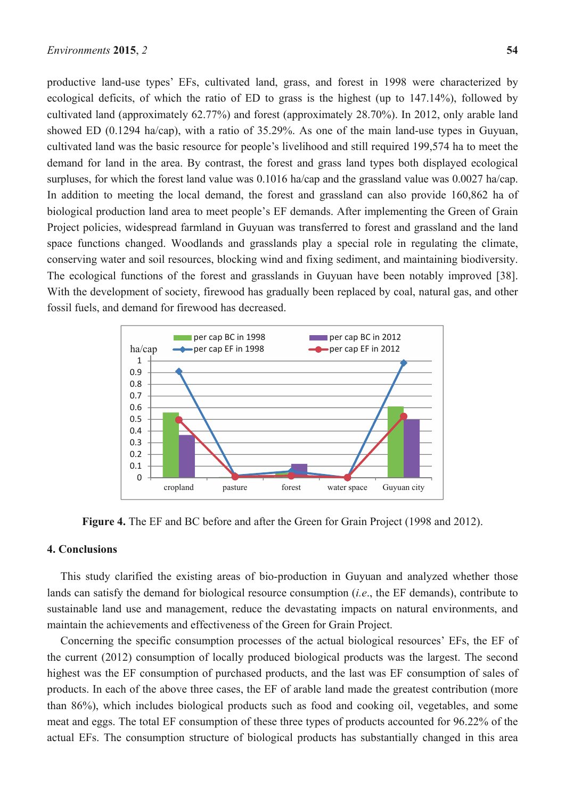productive land-use types' EFs, cultivated land, grass, and forest in 1998 were characterized by ecological deficits, of which the ratio of ED to grass is the highest (up to 147.14%), followed by cultivated land (approximately 62.77%) and forest (approximately 28.70%). In 2012, only arable land showed ED (0.1294 ha/cap), with a ratio of 35.29%. As one of the main land-use types in Guyuan, cultivated land was the basic resource for people's livelihood and still required 199,574 ha to meet the demand for land in the area. By contrast, the forest and grass land types both displayed ecological surpluses, for which the forest land value was 0.1016 ha/cap and the grassland value was 0.0027 ha/cap. In addition to meeting the local demand, the forest and grassland can also provide 160,862 ha of biological production land area to meet people's EF demands. After implementing the Green of Grain Project policies, widespread farmland in Guyuan was transferred to forest and grassland and the land space functions changed. Woodlands and grasslands play a special role in regulating the climate, conserving water and soil resources, blocking wind and fixing sediment, and maintaining biodiversity. The ecological functions of the forest and grasslands in Guyuan have been notably improved [38]. With the development of society, firewood has gradually been replaced by coal, natural gas, and other fossil fuels, and demand for firewood has decreased.



**Figure 4.** The EF and BC before and after the Green for Grain Project (1998 and 2012).

# **4. Conclusions**

This study clarified the existing areas of bio-production in Guyuan and analyzed whether those lands can satisfy the demand for biological resource consumption (*i.e*., the EF demands), contribute to sustainable land use and management, reduce the devastating impacts on natural environments, and maintain the achievements and effectiveness of the Green for Grain Project.

Concerning the specific consumption processes of the actual biological resources' EFs, the EF of the current (2012) consumption of locally produced biological products was the largest. The second highest was the EF consumption of purchased products, and the last was EF consumption of sales of products. In each of the above three cases, the EF of arable land made the greatest contribution (more than 86%), which includes biological products such as food and cooking oil, vegetables, and some meat and eggs. The total EF consumption of these three types of products accounted for 96.22% of the actual EFs. The consumption structure of biological products has substantially changed in this area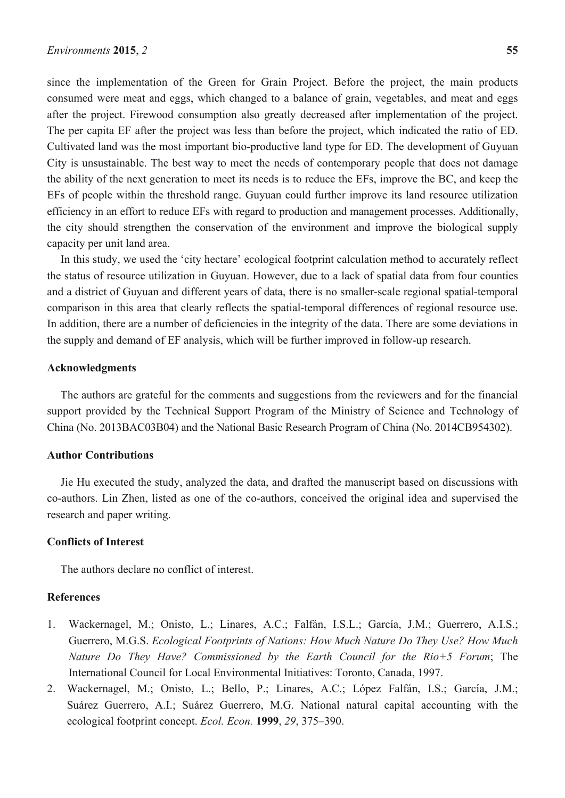since the implementation of the Green for Grain Project. Before the project, the main products consumed were meat and eggs, which changed to a balance of grain, vegetables, and meat and eggs after the project. Firewood consumption also greatly decreased after implementation of the project. The per capita EF after the project was less than before the project, which indicated the ratio of ED. Cultivated land was the most important bio-productive land type for ED. The development of Guyuan City is unsustainable. The best way to meet the needs of contemporary people that does not damage the ability of the next generation to meet its needs is to reduce the EFs, improve the BC, and keep the EFs of people within the threshold range. Guyuan could further improve its land resource utilization efficiency in an effort to reduce EFs with regard to production and management processes. Additionally, the city should strengthen the conservation of the environment and improve the biological supply capacity per unit land area.

In this study, we used the 'city hectare' ecological footprint calculation method to accurately reflect the status of resource utilization in Guyuan. However, due to a lack of spatial data from four counties and a district of Guyuan and different years of data, there is no smaller-scale regional spatial-temporal comparison in this area that clearly reflects the spatial-temporal differences of regional resource use. In addition, there are a number of deficiencies in the integrity of the data. There are some deviations in the supply and demand of EF analysis, which will be further improved in follow-up research.

# **Acknowledgments**

The authors are grateful for the comments and suggestions from the reviewers and for the financial support provided by the Technical Support Program of the Ministry of Science and Technology of China (No. 2013BAC03B04) and the National Basic Research Program of China (No. 2014CB954302).

# **Author Contributions**

Jie Hu executed the study, analyzed the data, and drafted the manuscript based on discussions with co-authors. Lin Zhen, listed as one of the co-authors, conceived the original idea and supervised the research and paper writing.

#### **Conflicts of Interest**

The authors declare no conflict of interest.

# **References**

- 1. Wackernagel, M.; Onisto, L.; Linares, A.C.; Falfán, I.S.L.; García, J.M.; Guerrero, A.I.S.; Guerrero, M.G.S. *Ecological Footprints of Nations: How Much Nature Do They Use? How Much Nature Do They Have? Commissioned by the Earth Council for the Rio+5 Forum*; The International Council for Local Environmental Initiatives: Toronto, Canada, 1997.
- 2. Wackernagel, M.; Onisto, L.; Bello, P.; Linares, A.C.; López Falfán, I.S.; García, J.M.; Suárez Guerrero, A.I.; Suárez Guerrero, M.G. National natural capital accounting with the ecological footprint concept. *Ecol. Econ.* **1999**, *29*, 375–390.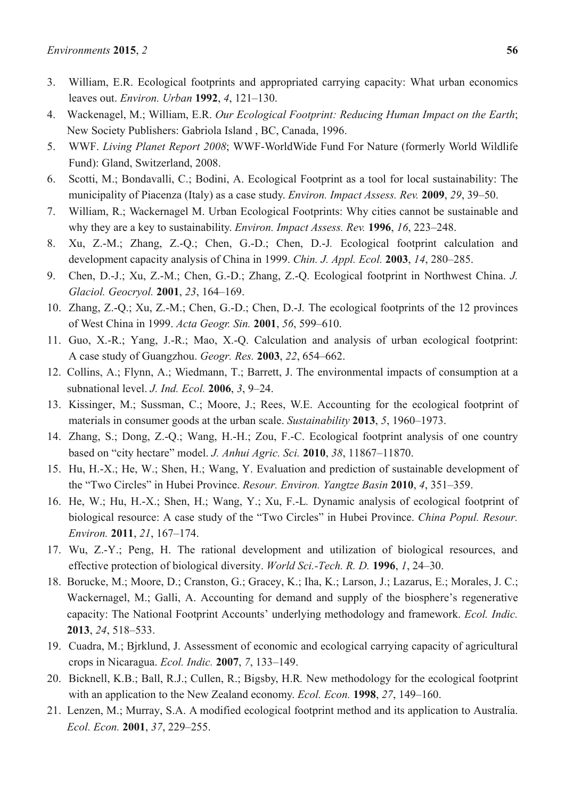- 3. William, E.R. Ecological footprints and appropriated carrying capacity: What urban economics leaves out. *Environ. Urban* **1992**, *4*, 121–130.
- 4. Wackenagel, M.; William, E.R. *Our Ecological Footprint: Reducing Human Impact on the Earth*; New Society Publishers: Gabriola Island , BC, Canada, 1996.
- 5. WWF. *Living Planet Report 2008*; WWF-WorldWide Fund For Nature (formerly World Wildlife Fund): Gland, Switzerland, 2008.
- 6. Scotti, M.; Bondavalli, C.; Bodini, A. Ecological Footprint as a tool for local sustainability: The municipality of Piacenza (Italy) as a case study. *Environ. Impact Assess. Rev.* **2009**, *29*, 39–50.
- 7. William, R.; Wackernagel M. Urban Ecological Footprints: Why cities cannot be sustainable and why they are a key to sustainability. *Environ. Impact Assess. Rev.* **1996**, *16*, 223–248.
- 8. Xu, Z.-M.; Zhang, Z.-Q.; Chen, G.-D.; Chen, D.-J*.* Ecological footprint calculation and development capacity analysis of China in 1999. *Chin. J. Appl. Ecol.* **2003**, *14*, 280–285.
- 9. Chen, D.-J.; Xu, Z.-M.; Chen, G.-D.; Zhang, Z.-Q. Ecological footprint in Northwest China. *J. Glaciol. Geocryol.* **2001**, *23*, 164–169.
- 10. Zhang, Z.-Q.; Xu, Z.-M.; Chen, G.-D.; Chen, D.-J*.* The ecological footprints of the 12 provinces of West China in 1999. *Acta Geogr. Sin.* **2001**, *56*, 599–610.
- 11. Guo, X.-R.; Yang, J.-R.; Mao, X.-Q. Calculation and analysis of urban ecological footprint: A case study of Guangzhou. *Geogr. Res.* **2003**, *22*, 654–662.
- 12. Collins, A.; Flynn, A.; Wiedmann, T.; Barrett, J. The environmental impacts of consumption at a subnational level. *J. Ind. Ecol.* **2006**, *3*, 9–24.
- 13. Kissinger, M.; Sussman, C.; Moore, J.; Rees, W.E. Accounting for the ecological footprint of materials in consumer goods at the urban scale. *Sustainability* **2013**, *5*, 1960–1973.
- 14. Zhang, S.; Dong, Z.-Q.; Wang, H.-H.; Zou, F.-C. Ecological footprint analysis of one country based on "city hectare" model. *J. Anhui Agric. Sci.* **2010**, *38*, 11867–11870.
- 15. Hu, H.-X.; He, W.; Shen, H.; Wang, Y. Evaluation and prediction of sustainable development of the "Two Circles" in Hubei Province. *Resour. Environ. Yangtze Basin* **2010**, *4*, 351–359.
- 16. He, W.; Hu, H.-X.; Shen, H.; Wang, Y.; Xu, F.-L*.* Dynamic analysis of ecological footprint of biological resource: A case study of the "Two Circles" in Hubei Province. *China Popul. Resour. Environ.* **2011**, *21*, 167–174.
- 17. Wu, Z.-Y.; Peng, H. The rational development and utilization of biological resources, and effective protection of biological diversity. *World Sci.-Tech. R. D.* **1996**, *1*, 24–30.
- 18. Borucke, M.; Moore, D.; Cranston, G.; Gracey, K.; Iha, K.; Larson, J.; Lazarus, E.; Morales, J. C.; Wackernagel, M.; Galli, A. Accounting for demand and supply of the biosphere's regenerative capacity: The National Footprint Accounts' underlying methodology and framework. *Ecol. Indic.* **2013**, *24*, 518–533.
- 19. Cuadra, M.; Bjrklund, J. Assessment of economic and ecological carrying capacity of agricultural crops in Nicaragua. *Ecol. Indic.* **2007**, *7*, 133–149.
- 20. Bicknell, K.B.; Ball, R.J.; Cullen, R.; Bigsby, H.R*.* New methodology for the ecological footprint with an application to the New Zealand economy. *Ecol. Econ.* **1998**, *27*, 149–160.
- 21. Lenzen, M.; Murray, S.A. A modified ecological footprint method and its application to Australia. *Ecol. Econ.* **2001**, *37*, 229–255.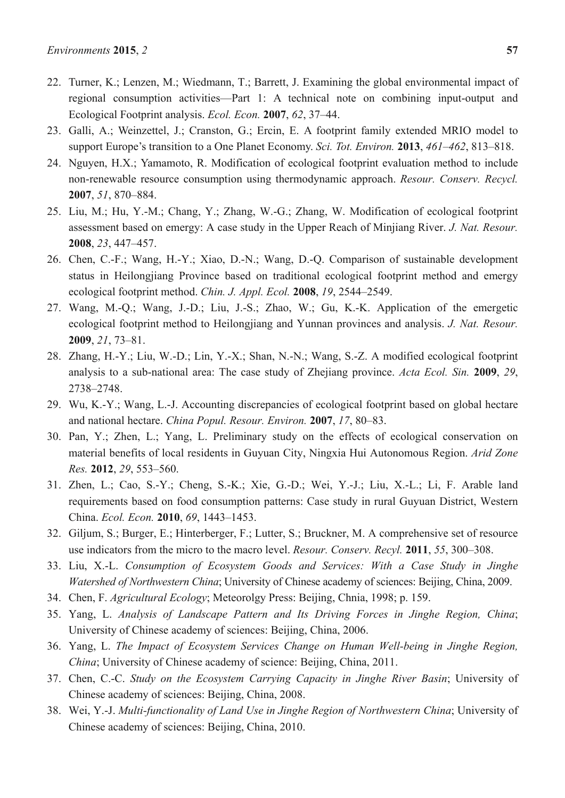- 22. Turner, K.; Lenzen, M.; Wiedmann, T.; Barrett, J. Examining the global environmental impact of regional consumption activities—Part 1: A technical note on combining input-output and Ecological Footprint analysis. *Ecol. Econ.* **2007**, *62*, 37–44.
- 23. Galli, A.; Weinzettel, J.; Cranston, G.; Ercin, E. A footprint family extended MRIO model to support Europe's transition to a One Planet Economy. *Sci. Tot. Environ.* **2013**, *461–462*, 813–818.
- 24. Nguyen, H.X.; Yamamoto, R. Modification of ecological footprint evaluation method to include non-renewable resource consumption using thermodynamic approach. *Resour. Conserv. Recycl.* **2007**, *51*, 870–884.
- 25. Liu, M.; Hu, Y.-M.; Chang, Y.; Zhang, W.-G.; Zhang, W. Modification of ecological footprint assessment based on emergy: A case study in the Upper Reach of Minjiang River. *J. Nat. Resour.* **2008**, *23*, 447–457.
- 26. Chen, C.-F.; Wang, H.-Y.; Xiao, D.-N.; Wang, D.-Q. Comparison of sustainable development status in Heilongjiang Province based on traditional ecological footprint method and emergy ecological footprint method. *Chin. J. Appl. Ecol.* **2008**, *19*, 2544–2549.
- 27. Wang, M.-Q.; Wang, J.-D.; Liu, J.-S.; Zhao, W.; Gu, K.-K. Application of the emergetic ecological footprint method to Heilongjiang and Yunnan provinces and analysis. *J. Nat. Resour.* **2009**, *21*, 73–81.
- 28. Zhang, H.-Y.; Liu, W.-D.; Lin, Y.-X.; Shan, N.-N.; Wang, S.-Z. A modified ecological footprint analysis to a sub-national area: The case study of Zhejiang province. *Acta Ecol. Sin.* **2009**, *29*, 2738–2748.
- 29. Wu, K.-Y.; Wang, L.-J. Accounting discrepancies of ecological footprint based on global hectare and national hectare. *China Popul. Resour. Environ.* **2007**, *17*, 80–83.
- 30. Pan, Y.; Zhen, L.; Yang, L. Preliminary study on the effects of ecological conservation on material benefits of local residents in Guyuan City, Ningxia Hui Autonomous Region. *Arid Zone Res.* **2012**, *29*, 553–560.
- 31. Zhen, L.; Cao, S.-Y.; Cheng, S.-K.; Xie, G.-D.; Wei, Y.-J.; Liu, X.-L.; Li, F. Arable land requirements based on food consumption patterns: Case study in rural Guyuan District, Western China. *Ecol. Econ.* **2010**, *69*, 1443–1453.
- 32. Giljum, S.; Burger, E.; Hinterberger, F.; Lutter, S.; Bruckner, M. A comprehensive set of resource use indicators from the micro to the macro level. *Resour. Conserv. Recyl.* **2011**, *55*, 300–308.
- 33. Liu, X.-L. *Consumption of Ecosystem Goods and Services: With a Case Study in Jinghe Watershed of Northwestern China*; University of Chinese academy of sciences: Beijing, China, 2009.
- 34. Chen, F. *Agricultural Ecology*; Meteorolgy Press: Beijing, Chnia, 1998; p. 159.
- 35. Yang, L. *Analysis of Landscape Pattern and Its Driving Forces in Jinghe Region, China*; University of Chinese academy of sciences: Beijing, China, 2006.
- 36. Yang, L. *The Impact of Ecosystem Services Change on Human Well-being in Jinghe Region, China*: University of Chinese academy of science: Beijing, China, 2011.
- 37. Chen, C.-C. *Study on the Ecosystem Carrying Capacity in Jinghe River Basin*; University of Chinese academy of sciences: Beijing, China, 2008.
- 38. Wei, Y.-J. *Multi-functionality of Land Use in Jinghe Region of Northwestern China*; University of Chinese academy of sciences: Beijing, China, 2010.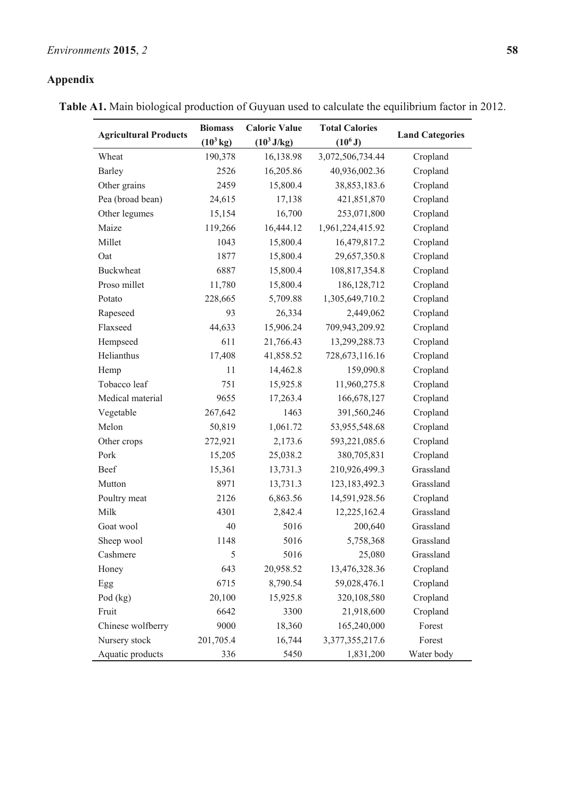# **Appendix**

**Table A1.** Main biological production of Guyuan used to calculate the equilibrium factor in 2012.

|                              | <b>Biomass</b>      | <b>Caloric Value</b> | <b>Total Calories</b> |                        |  |
|------------------------------|---------------------|----------------------|-----------------------|------------------------|--|
| <b>Agricultural Products</b> | $(10^3 \text{ kg})$ | $(10^3 J/kg)$        | $(10^6 J)$            | <b>Land Categories</b> |  |
| Wheat                        | 190,378             | 16,138.98            | 3,072,506,734.44      | Cropland               |  |
| <b>Barley</b>                | 2526                | 16,205.86            | 40,936,002.36         | Cropland               |  |
| Other grains                 | 2459                | 15,800.4             | 38,853,183.6          | Cropland               |  |
| Pea (broad bean)             | 24,615              | 17,138               | 421,851,870           | Cropland               |  |
| Other legumes                | 15,154              | 16,700               | 253,071,800           | Cropland               |  |
| Maize                        | 119,266             | 16,444.12            | 1,961,224,415.92      | Cropland               |  |
| Millet                       | 1043                | 15,800.4             | 16,479,817.2          | Cropland               |  |
| Oat                          | 1877                | 15,800.4             | 29,657,350.8          | Cropland               |  |
| <b>Buckwheat</b>             | 6887                | 15,800.4             | 108,817,354.8         | Cropland               |  |
| Proso millet                 | 11,780              | 15,800.4             | 186, 128, 712         | Cropland               |  |
| Potato                       | 228,665             | 5,709.88             | 1,305,649,710.2       | Cropland               |  |
| Rapeseed                     | 93                  | 26,334               | 2,449,062             | Cropland               |  |
| Flaxseed                     | 44,633              | 15,906.24            | 709,943,209.92        | Cropland               |  |
| Hempseed                     | 611                 | 21,766.43            | 13,299,288.73         | Cropland               |  |
| Helianthus                   | 17,408              | 41,858.52            | 728,673,116.16        | Cropland               |  |
| Hemp                         | 11                  | 14,462.8             | 159,090.8             | Cropland               |  |
| Tobacco leaf                 | 751                 | 15,925.8             | 11,960,275.8          | Cropland               |  |
| Medical material             | 9655                | 17,263.4             | 166,678,127           | Cropland               |  |
| Vegetable                    | 267,642             | 1463                 | 391,560,246           | Cropland               |  |
| Melon                        | 50,819              | 1,061.72             | 53,955,548.68         | Cropland               |  |
| Other crops                  | 272,921             | 2,173.6              | 593,221,085.6         | Cropland               |  |
| Pork                         | 15,205              | 25,038.2             | 380,705,831           | Cropland               |  |
| Beef                         | 15,361              | 13,731.3             | 210,926,499.3         | Grassland              |  |
| Mutton                       | 8971                | 13,731.3             | 123, 183, 492. 3      | Grassland              |  |
| Poultry meat                 | 2126                | 6,863.56             | 14,591,928.56         | Cropland               |  |
| Milk                         | 4301                | 2,842.4              | 12,225,162.4          | Grassland              |  |
| Goat wool                    | 40                  | 5016                 | 200,640               | Grassland              |  |
| Sheep wool                   | 1148                | 5016                 | 5,758,368             | Grassland              |  |
| Cashmere                     | 5                   | 5016                 | 25,080                | Grassland              |  |
| Honey                        | 643                 | 20,958.52            | 13,476,328.36         | Cropland               |  |
| Egg                          | 6715                | 8,790.54             | 59,028,476.1          | Cropland               |  |
| Pod $(kg)$                   | 20,100              | 15,925.8             | 320,108,580           | Cropland               |  |
| Fruit                        | 6642                | 3300                 | 21,918,600            | Cropland               |  |
| Chinese wolfberry            | 9000                | 18,360               | 165,240,000           | Forest                 |  |
| Nursery stock                | 201,705.4           | 16,744               | 3,377,355,217.6       | Forest                 |  |
| Aquatic products             | 336                 | 5450                 | 1,831,200             | Water body             |  |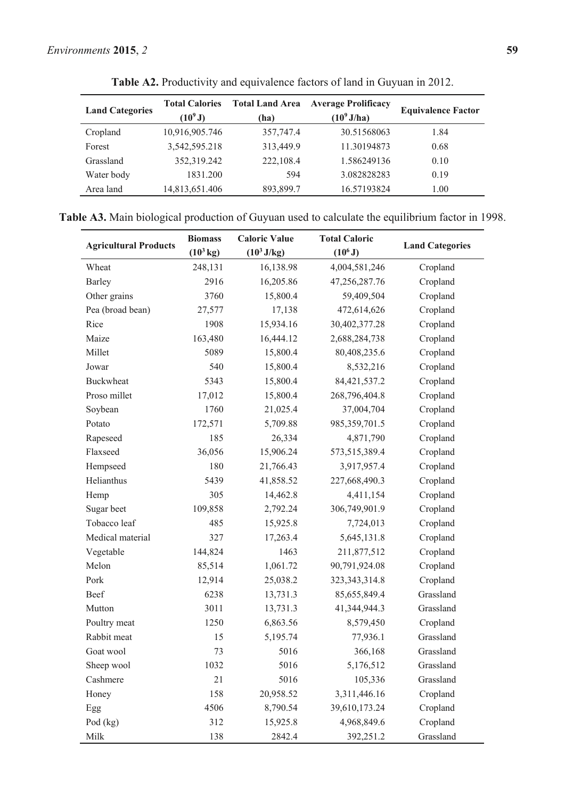| <b>Land Categories</b> | <b>Total Calories</b><br>$(10^9 J)$ | <b>Total Land Area</b><br>(ha) | <b>Average Prolificacy</b><br>$(10^9 J/ha)$ | <b>Equivalence Factor</b> |
|------------------------|-------------------------------------|--------------------------------|---------------------------------------------|---------------------------|
| Cropland               | 10,916,905.746                      | 357,747.4                      | 30.51568063                                 | 1.84                      |
| Forest                 | 3,542,595.218                       | 313,449.9                      | 11.30194873                                 | 0.68                      |
| Grassland              | 352,319.242                         | 222,108.4                      | 1.586249136                                 | 0.10                      |
| Water body             | 1831.200                            | 594                            | 3.082828283                                 | 0.19                      |
| Area land              | 14,813,651.406                      | 893,899.7                      | 16.57193824                                 | 1.00                      |

**Table A2.** Productivity and equivalence factors of land in Guyuan in 2012.

| <b>Table A3.</b> Main biological production of Guyuan used to calculate the equilibrium factor in 1998 |  |  |  |  |  |
|--------------------------------------------------------------------------------------------------------|--|--|--|--|--|
|--------------------------------------------------------------------------------------------------------|--|--|--|--|--|

|                              | <b>Biomass</b>      | <b>Caloric Value</b> | <b>Total Caloric</b> |                        |  |
|------------------------------|---------------------|----------------------|----------------------|------------------------|--|
| <b>Agricultural Products</b> | $(10^3 \text{ kg})$ | $(10^3 J/kg)$        | $(10^6 J)$           | <b>Land Categories</b> |  |
| Wheat                        | 248,131             | 16,138.98            | 4,004,581,246        | Cropland               |  |
| Barley                       | 2916                | 16,205.86            | 47,256,287.76        | Cropland               |  |
| Other grains                 | 3760                | 15,800.4             | 59,409,504           | Cropland               |  |
| Pea (broad bean)             | 27,577              | 17,138               | 472,614,626          | Cropland               |  |
| Rice                         | 1908                | 15,934.16            | 30,402,377.28        | Cropland               |  |
| Maize                        | 163,480             | 16,444.12            | 2,688,284,738        | Cropland               |  |
| Millet                       | 5089                | 15,800.4             | 80,408,235.6         | Cropland               |  |
| Jowar                        | 540                 | 15,800.4             | 8,532,216            | Cropland               |  |
| <b>Buckwheat</b>             | 5343                | 15,800.4             | 84,421,537.2         | Cropland               |  |
| Proso millet                 | 17,012              | 15,800.4             | 268,796,404.8        | Cropland               |  |
| Soybean                      | 1760                | 21,025.4             | 37,004,704           | Cropland               |  |
| Potato                       | 172,571             | 5,709.88             | 985, 359, 701.5      | Cropland               |  |
| Rapeseed                     | 185                 | 26,334               | 4,871,790            | Cropland               |  |
| Flaxseed                     | 36,056              | 15,906.24            | 573,515,389.4        | Cropland               |  |
| Hempseed                     | 180                 | 21,766.43            | 3,917,957.4          | Cropland               |  |
| Helianthus                   | 5439                | 41,858.52            | 227,668,490.3        | Cropland               |  |
| Hemp                         | 305                 | 14,462.8             | 4,411,154            | Cropland               |  |
| Sugar beet                   | 109,858             | 2,792.24             | 306,749,901.9        | Cropland               |  |
| Tobacco leaf                 | 485                 | 15,925.8             | 7,724,013            | Cropland               |  |
| Medical material             | 327                 | 17,263.4             | 5,645,131.8          | Cropland               |  |
| Vegetable                    | 144,824             | 1463                 | 211,877,512          | Cropland               |  |
| Melon                        | 85,514              | 1,061.72             | 90,791,924.08        | Cropland               |  |
| Pork                         | 12,914              | 25,038.2             | 323, 343, 314.8      | Cropland               |  |
| Beef                         | 6238                | 13,731.3             | 85,655,849.4         | Grassland              |  |
| Mutton                       | 3011                | 13,731.3             | 41,344,944.3         | Grassland              |  |
| Poultry meat                 | 1250                | 6,863.56             | 8,579,450            | Cropland               |  |
| Rabbit meat                  | 15                  | 5,195.74             | 77,936.1             | Grassland              |  |
| Goat wool                    | 73                  | 5016                 | 366,168              | Grassland              |  |
| Sheep wool                   | 1032                | 5016                 | 5,176,512            | Grassland              |  |
| Cashmere                     | 21                  | 5016                 | 105,336              | Grassland              |  |
| Honey                        | 158                 | 20,958.52            | 3,311,446.16         | Cropland               |  |
| Egg                          | 4506                | 8,790.54             | 39,610,173.24        | Cropland               |  |
| Pod (kg)                     | 312                 | 15,925.8             | 4,968,849.6          | Cropland               |  |
| Milk                         | 138                 | 2842.4               | 392,251.2            | Grassland              |  |